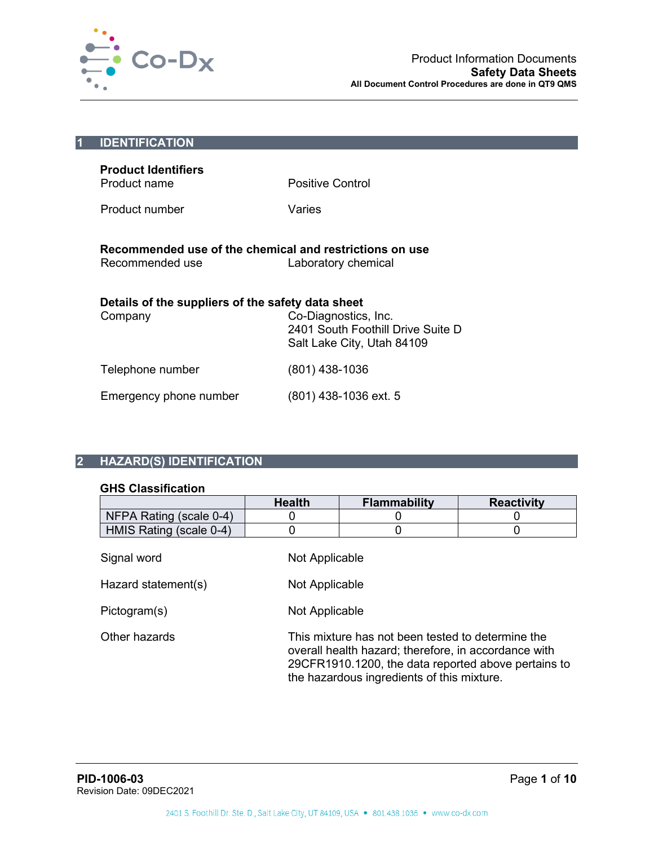

| $\vert$ 1                                                                                         | <b>IDENTIFICATION</b>                             |                                                                                         |
|---------------------------------------------------------------------------------------------------|---------------------------------------------------|-----------------------------------------------------------------------------------------|
|                                                                                                   | <b>Product Identifiers</b><br>Product name        | Positive Control                                                                        |
|                                                                                                   | Product number                                    | Varies                                                                                  |
| Recommended use of the chemical and restrictions on use<br>Recommended use<br>Laboratory chemical |                                                   |                                                                                         |
|                                                                                                   | Details of the suppliers of the safety data sheet |                                                                                         |
|                                                                                                   | Company                                           | Co-Diagnostics, Inc.<br>2401 South Foothill Drive Suite D<br>Salt Lake City, Utah 84109 |
|                                                                                                   | Telephone number                                  | (801) 438-1036                                                                          |
|                                                                                                   | Emergency phone number                            | $(801)$ 438-1036 ext. 5                                                                 |

# **2 HAZARD(S) IDENTIFICATION**

## **GHS Classification**

|                         | <b>Health</b> | <b>Flammability</b>                                                                                                                                                                                            | <b>Reactivity</b> |  |  |
|-------------------------|---------------|----------------------------------------------------------------------------------------------------------------------------------------------------------------------------------------------------------------|-------------------|--|--|
| NFPA Rating (scale 0-4) | 0             |                                                                                                                                                                                                                |                   |  |  |
| HMIS Rating (scale 0-4) | 0             |                                                                                                                                                                                                                |                   |  |  |
| Signal word             |               | Not Applicable                                                                                                                                                                                                 |                   |  |  |
| Hazard statement(s)     |               | Not Applicable                                                                                                                                                                                                 |                   |  |  |
| Pictogram(s)            |               | Not Applicable                                                                                                                                                                                                 |                   |  |  |
| Other hazards           |               | This mixture has not been tested to determine the<br>overall health hazard; therefore, in accordance with<br>29CFR1910.1200, the data reported above pertains to<br>the hazardous ingredients of this mixture. |                   |  |  |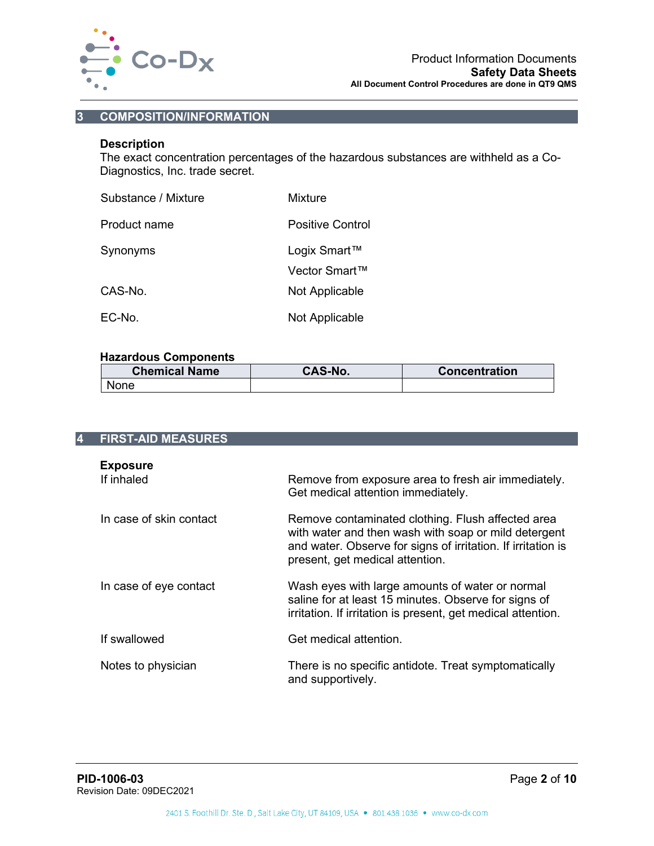

# **3 COMPOSITION/INFORMATION**

## **Description**

The exact concentration percentages of the hazardous substances are withheld as a Co-Diagnostics, Inc. trade secret.

| Substance / Mixture | Mixture          |
|---------------------|------------------|
| Product name        | Positive Control |
| Synonyms            | Logix Smart™     |
|                     | Vector Smart™    |
| CAS-No.             | Not Applicable   |
| EC-No.              | Not Applicable   |

#### **Hazardous Components**

| <b>Chemical Name</b> | <b>CAS-No.</b> | <b>Concentration</b> |
|----------------------|----------------|----------------------|
| <b>None</b>          |                |                      |

| 4 | <b>FIRST-AID MEASURES</b>     |                                                                                                                                                                                                              |
|---|-------------------------------|--------------------------------------------------------------------------------------------------------------------------------------------------------------------------------------------------------------|
|   | <b>Exposure</b><br>If inhaled | Remove from exposure area to fresh air immediately.<br>Get medical attention immediately.                                                                                                                    |
|   | In case of skin contact       | Remove contaminated clothing. Flush affected area<br>with water and then wash with soap or mild detergent<br>and water. Observe for signs of irritation. If irritation is<br>present, get medical attention. |
|   | In case of eye contact        | Wash eyes with large amounts of water or normal<br>saline for at least 15 minutes. Observe for signs of<br>irritation. If irritation is present, get medical attention.                                      |
|   | If swallowed                  | Get medical attention.                                                                                                                                                                                       |
|   | Notes to physician            | There is no specific antidote. Treat symptomatically<br>and supportively.                                                                                                                                    |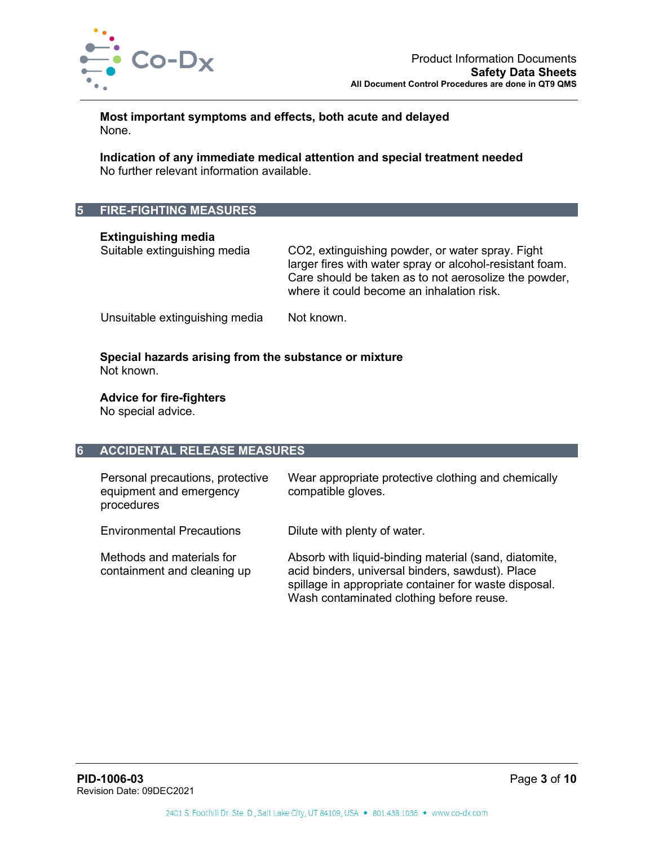

**Most important symptoms and effects, both acute and delayed** None.

**Indication of any immediate medical attention and special treatment needed** No further relevant information available.

# **5 FIRE-FIGHTING MEASURES**

**Extinguishing media**

CO2, extinguishing powder, or water spray. Fight larger fires with water spray or alcohol-resistant foam. Care should be taken as to not aerosolize the powder, where it could become an inhalation risk.

Unsuitable extinguishing media Not known.

#### **Special hazards arising from the substance or mixture** Not known.

#### **Advice for fire-fighters**

No special advice.

#### **6 ACCIDENTAL RELEASE MEASURES**

| Personal precautions, protective<br>equipment and emergency<br>procedures | Wear appropriate protective clothing and chemically<br>compatible gloves.                                                                                                                                      |
|---------------------------------------------------------------------------|----------------------------------------------------------------------------------------------------------------------------------------------------------------------------------------------------------------|
| <b>Environmental Precautions</b>                                          | Dilute with plenty of water.                                                                                                                                                                                   |
| Methods and materials for<br>containment and cleaning up                  | Absorb with liquid-binding material (sand, diatomite,<br>acid binders, universal binders, sawdust). Place<br>spillage in appropriate container for waste disposal.<br>Wash contaminated clothing before reuse. |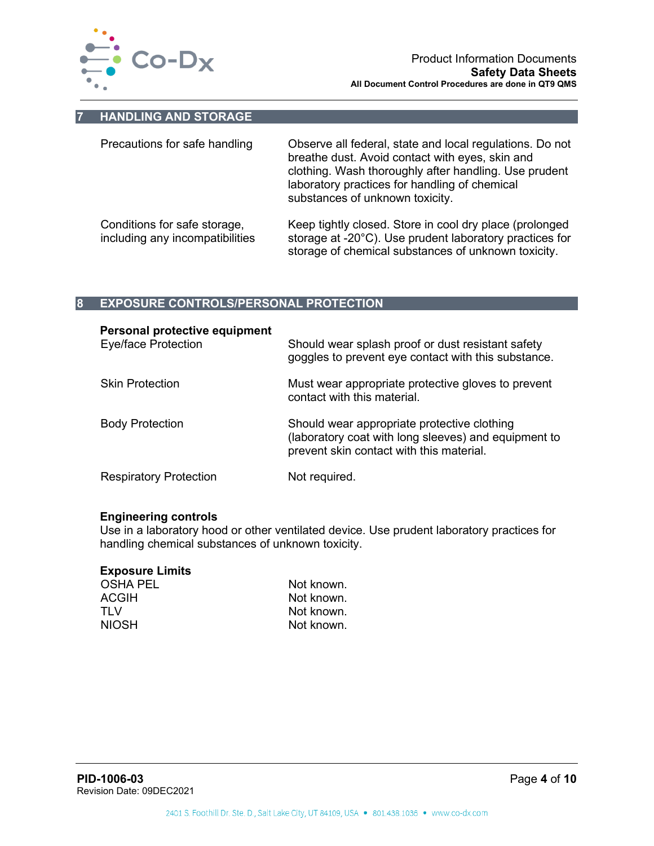

#### **7 HANDLING AND STORAGE**

| Precautions for safe handling                                   | Observe all federal, state and local regulations. Do not<br>breathe dust. Avoid contact with eyes, skin and<br>clothing. Wash thoroughly after handling. Use prudent<br>laboratory practices for handling of chemical<br>substances of unknown toxicity. |
|-----------------------------------------------------------------|----------------------------------------------------------------------------------------------------------------------------------------------------------------------------------------------------------------------------------------------------------|
| Conditions for safe storage,<br>including any incompatibilities | Keep tightly closed. Store in cool dry place (prolonged<br>storage at -20°C). Use prudent laboratory practices for<br>storage of chemical substances of unknown toxicity.                                                                                |

# **8 EXPOSURE CONTROLS/PERSONAL PROTECTION**

| Personal protective equipment<br><b>Eye/face Protection</b> | Should wear splash proof or dust resistant safety<br>goggles to prevent eye contact with this substance.                                        |
|-------------------------------------------------------------|-------------------------------------------------------------------------------------------------------------------------------------------------|
| <b>Skin Protection</b>                                      | Must wear appropriate protective gloves to prevent<br>contact with this material.                                                               |
| <b>Body Protection</b>                                      | Should wear appropriate protective clothing<br>(laboratory coat with long sleeves) and equipment to<br>prevent skin contact with this material. |
| <b>Respiratory Protection</b>                               | Not required.                                                                                                                                   |

#### **Engineering controls**

Use in a laboratory hood or other ventilated device. Use prudent laboratory practices for handling chemical substances of unknown toxicity.

# **Exposure Limits**

| <b>OSHA PEL</b> | Not known. |
|-----------------|------------|
| <b>ACGIH</b>    | Not known. |
| TI V            | Not known. |
| <b>NIOSH</b>    | Not known. |
|                 |            |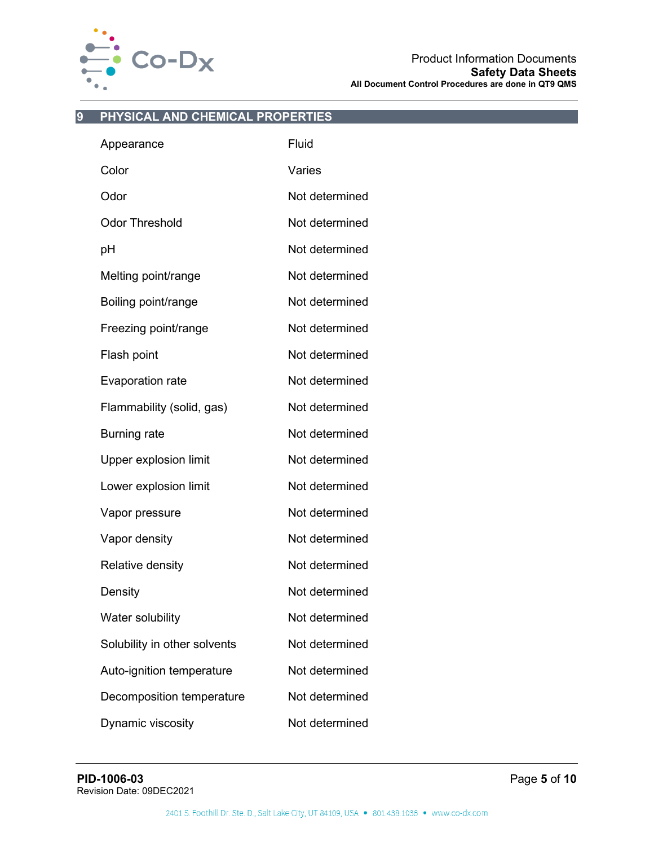

# **9 PHYSICAL AND CHEMICAL PROPERTIES**

| Appearance                   | Fluid          |
|------------------------------|----------------|
| Color                        | Varies         |
| Odor                         | Not determined |
| <b>Odor Threshold</b>        | Not determined |
| рH                           | Not determined |
| Melting point/range          | Not determined |
| Boiling point/range          | Not determined |
| Freezing point/range         | Not determined |
| Flash point                  | Not determined |
| <b>Evaporation rate</b>      | Not determined |
| Flammability (solid, gas)    | Not determined |
| <b>Burning rate</b>          | Not determined |
| <b>Upper explosion limit</b> | Not determined |
| Lower explosion limit        | Not determined |
| Vapor pressure               | Not determined |
| Vapor density                | Not determined |
| Relative density             | Not determined |
| Density                      | Not determined |
| Water solubility             | Not determined |
| Solubility in other solvents | Not determined |
| Auto-ignition temperature    | Not determined |
| Decomposition temperature    | Not determined |
| Dynamic viscosity            | Not determined |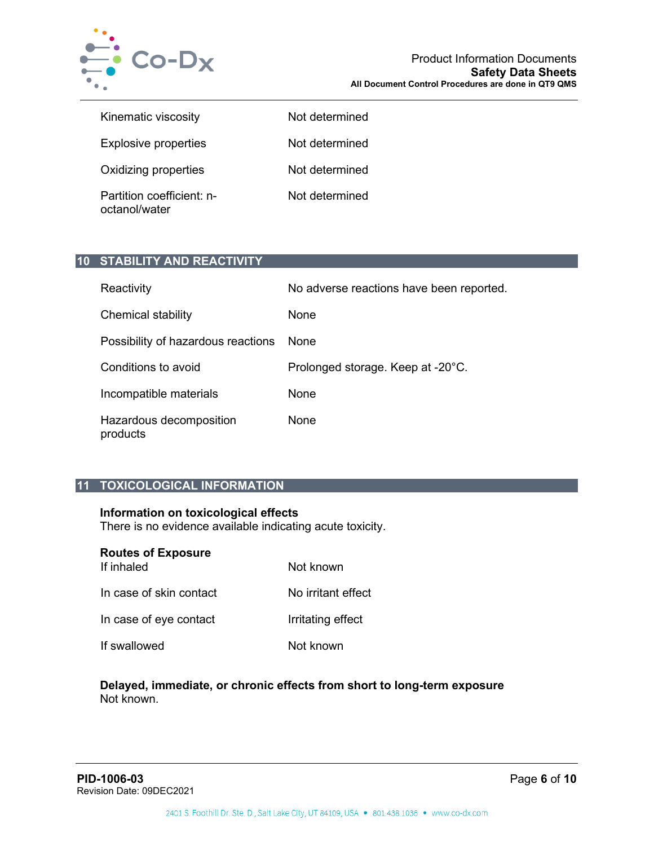

| Kinematic viscosity                        | Not determined |
|--------------------------------------------|----------------|
| <b>Explosive properties</b>                | Not determined |
| Oxidizing properties                       | Not determined |
| Partition coefficient: n-<br>octanol/water | Not determined |

# **10 STABILITY AND REACTIVITY**

| Reactivity                          | No adverse reactions have been reported. |
|-------------------------------------|------------------------------------------|
| Chemical stability                  | None                                     |
| Possibility of hazardous reactions  | <b>None</b>                              |
| Conditions to avoid                 | Prolonged storage. Keep at -20°C.        |
| Incompatible materials              | None                                     |
| Hazardous decomposition<br>products | None                                     |

# **11 TOXICOLOGICAL INFORMATION**

# **Information on toxicological effects**

There is no evidence available indicating acute toxicity.

| <b>Routes of Exposure</b><br>If inhaled | Not known          |
|-----------------------------------------|--------------------|
| In case of skin contact                 | No irritant effect |
| In case of eye contact                  | Irritating effect  |
| If swallowed                            | Not known          |

#### **Delayed, immediate, or chronic effects from short to long-term exposure** Not known.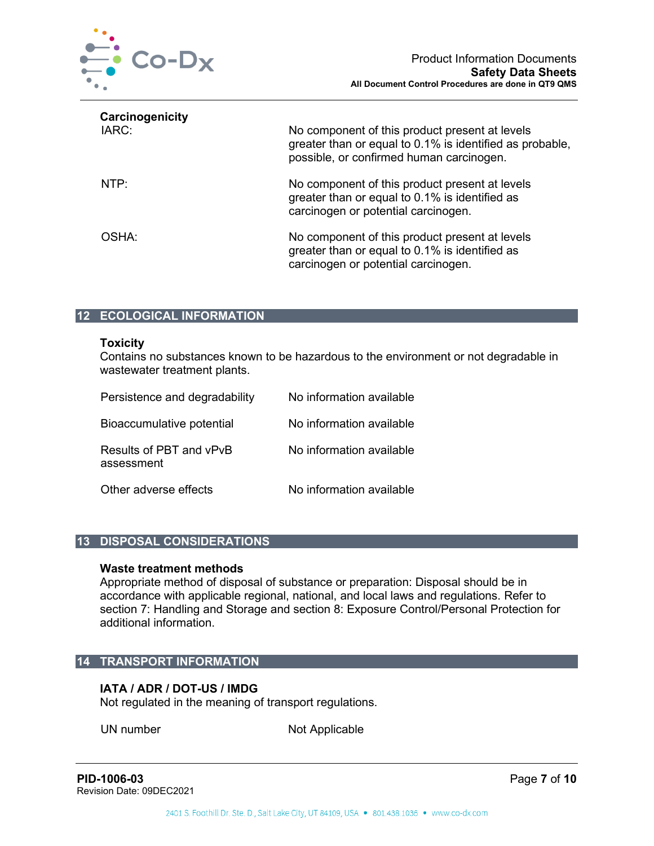

| Carcinogenicity<br>IARC: | No component of this product present at levels<br>greater than or equal to 0.1% is identified as probable,<br>possible, or confirmed human carcinogen. |
|--------------------------|--------------------------------------------------------------------------------------------------------------------------------------------------------|
| NTP:                     | No component of this product present at levels<br>greater than or equal to 0.1% is identified as<br>carcinogen or potential carcinogen.                |
| OSHA:                    | No component of this product present at levels<br>greater than or equal to 0.1% is identified as<br>carcinogen or potential carcinogen.                |

# **12 ECOLOGICAL INFORMATION**

#### **Toxicity**

Contains no substances known to be hazardous to the environment or not degradable in wastewater treatment plants.

| Persistence and degradability         | No information available |
|---------------------------------------|--------------------------|
| Bioaccumulative potential             | No information available |
| Results of PBT and vPvB<br>assessment | No information available |
| Other adverse effects                 | No information available |

## **13 DISPOSAL CONSIDERATIONS**

#### **Waste treatment methods**

Appropriate method of disposal of substance or preparation: Disposal should be in accordance with applicable regional, national, and local laws and regulations. Refer to section 7: Handling and Storage and section 8: Exposure Control/Personal Protection for additional information.

#### **14 TRANSPORT INFORMATION**

# **IATA / ADR / DOT-US / IMDG**

Not regulated in the meaning of transport regulations.

UN number Not Applicable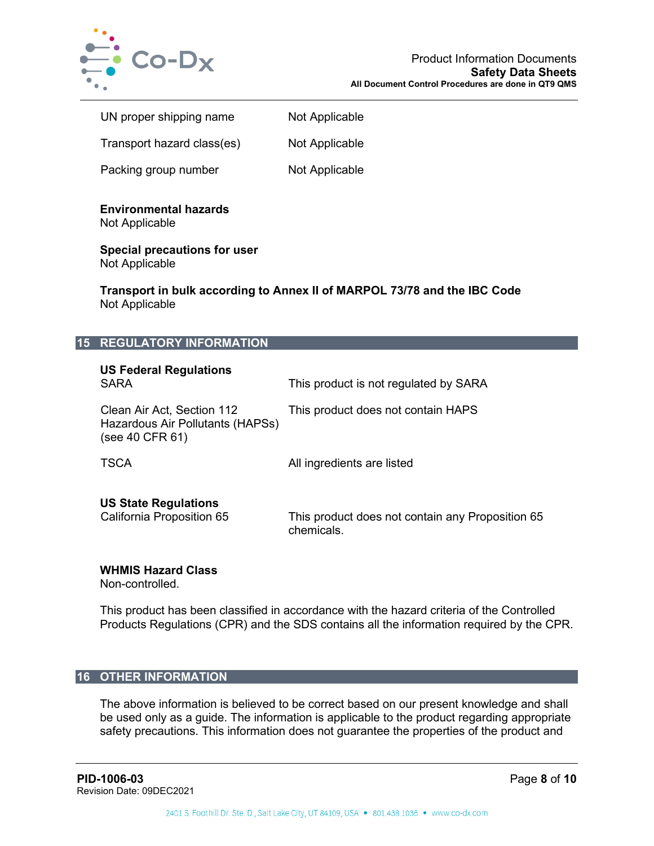

| UN proper shipping name    | Not Applicable |
|----------------------------|----------------|
| Transport hazard class(es) | Not Applicable |
| Packing group number       | Not Applicable |

**Environmental hazards**

Not Applicable

**Special precautions for user** Not Applicable

**Transport in bulk according to Annex II of MARPOL 73/78 and the IBC Code** Not Applicable

# **15 REGULATORY INFORMATION**

| <b>US Federal Regulations</b><br><b>SARA</b>                                      | This product is not regulated by SARA                          |
|-----------------------------------------------------------------------------------|----------------------------------------------------------------|
| Clean Air Act, Section 112<br>Hazardous Air Pollutants (HAPSs)<br>(see 40 CFR 61) | This product does not contain HAPS                             |
| <b>TSCA</b>                                                                       | All ingredients are listed                                     |
| <b>US State Regulations</b><br>California Proposition 65                          | This product does not contain any Proposition 65<br>chemicals. |

## **WHMIS Hazard Class**

Non-controlled.

This product has been classified in accordance with the hazard criteria of the Controlled Products Regulations (CPR) and the SDS contains all the information required by the CPR.

## **16 OTHER INFORMATION**

The above information is believed to be correct based on our present knowledge and shall be used only as a guide. The information is applicable to the product regarding appropriate safety precautions. This information does not guarantee the properties of the product and

**PID-1006-03** Page **8** of **10** Revision Date: 09DEC2021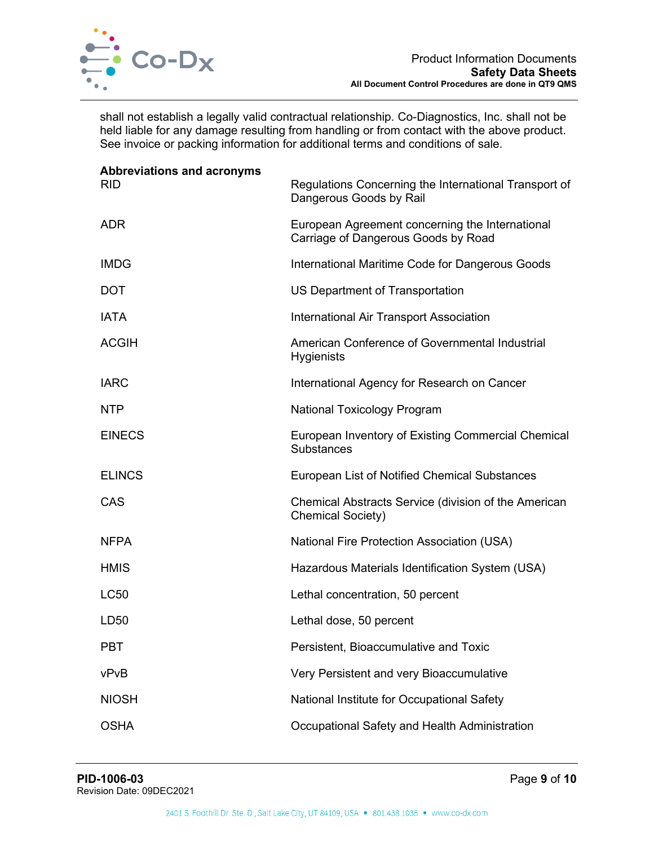

shall not establish a legally valid contractual relationship. Co-Diagnostics, Inc. shall not be held liable for any damage resulting from handling or from contact with the above product. See invoice or packing information for additional terms and conditions of sale.

| <b>Abbreviations and acronyms</b><br><b>RID</b> | Regulations Concerning the International Transport of<br>Dangerous Goods by Rail       |
|-------------------------------------------------|----------------------------------------------------------------------------------------|
| <b>ADR</b>                                      | European Agreement concerning the International<br>Carriage of Dangerous Goods by Road |
| <b>IMDG</b>                                     | International Maritime Code for Dangerous Goods                                        |
| <b>DOT</b>                                      | US Department of Transportation                                                        |
| <b>IATA</b>                                     | International Air Transport Association                                                |
| <b>ACGIH</b>                                    | American Conference of Governmental Industrial<br><b>Hygienists</b>                    |
| <b>IARC</b>                                     | International Agency for Research on Cancer                                            |
| <b>NTP</b>                                      | <b>National Toxicology Program</b>                                                     |
| <b>EINECS</b>                                   | European Inventory of Existing Commercial Chemical<br><b>Substances</b>                |
| <b>ELINCS</b>                                   | European List of Notified Chemical Substances                                          |
| CAS                                             | Chemical Abstracts Service (division of the American<br><b>Chemical Society)</b>       |
| <b>NFPA</b>                                     | National Fire Protection Association (USA)                                             |
| <b>HMIS</b>                                     | Hazardous Materials Identification System (USA)                                        |
| <b>LC50</b>                                     | Lethal concentration, 50 percent                                                       |
| LD50                                            | Lethal dose, 50 percent                                                                |
| PBT                                             | Persistent, Bioaccumulative and Toxic                                                  |
| vPvB                                            | Very Persistent and very Bioaccumulative                                               |
| <b>NIOSH</b>                                    | National Institute for Occupational Safety                                             |
| <b>OSHA</b>                                     | Occupational Safety and Health Administration                                          |
|                                                 |                                                                                        |